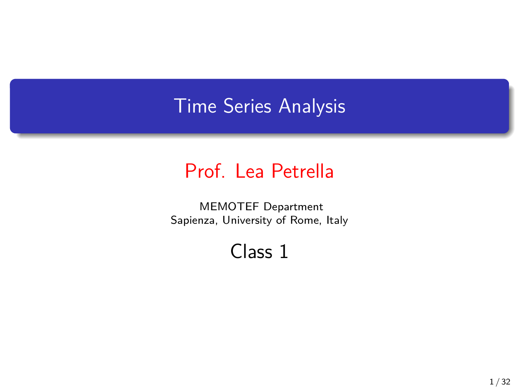# Time Series Analysis

### Prof. Lea Petrella

MEMOTEF Department Sapienza, University of Rome, Italy

## Class 1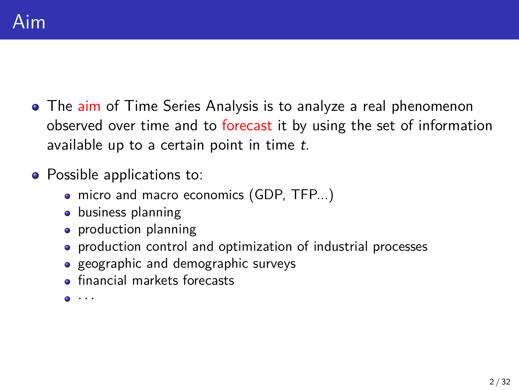- The aim of Time Series Analysis is to analyze a real phenomenon observed over time and to forecast it by using the set of information available up to a certain point in time *t*.
- Possible applications to:
	- micro and macro economics (GDP, TFP...)
	- **•** business planning
	- production planning
	- production control and optimization of industrial processes
	- geographic and demographic surveys
	- **•** financial markets forecasts
	- *· · ·*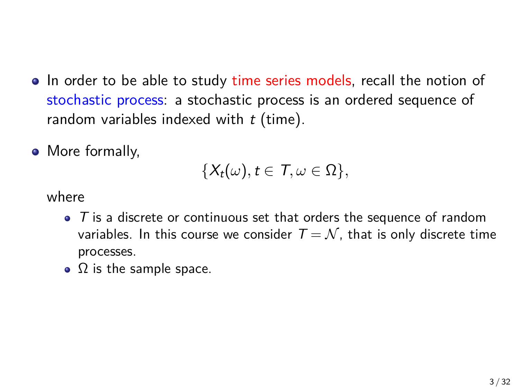- In order to be able to study time series models, recall the notion of stochastic process: a stochastic process is an ordered sequence of random variables indexed with *t* (time).
- More formally,

$$
\{X_t(\omega), t\in \mathcal{T}, \omega\in \Omega\},\
$$

where

- *T* is a discrete or continuous set that orders the sequence of random variables. In this course we consider  $T = \mathcal{N}$ , that is only discrete time processes.
- $\Omega$  is the sample space.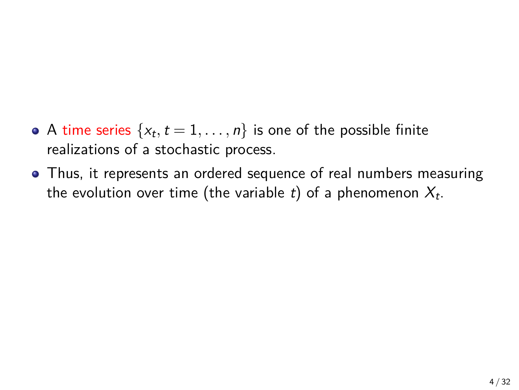- A time series  $\{x_t, t = 1, \ldots, n\}$  is one of the possible finite realizations of a stochastic process.
- Thus, it represents an ordered sequence of real numbers measuring the evolution over time (the variable *t*) of a phenomenon *X<sup>t</sup>* .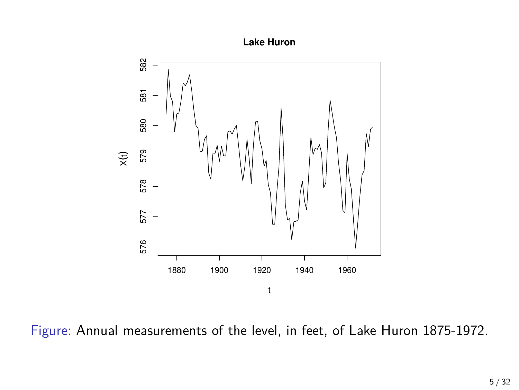



Figure: Annual measurements of the level, in feet, of Lake Huron 1875-1972.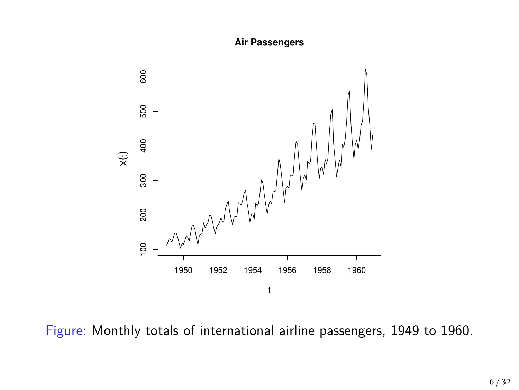**Air Passengers**



Figure: Monthly totals of international airline passengers, 1949 to 1960.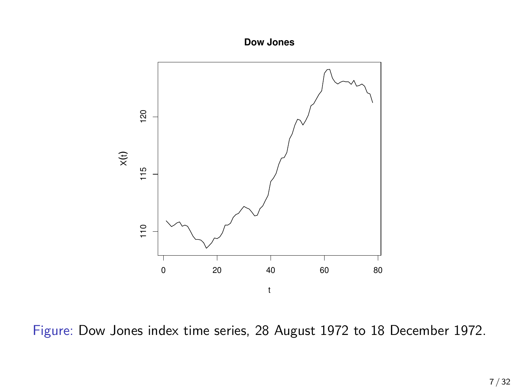**Dow Jones**



Figure: Dow Jones index time series, 28 August 1972 to 18 December 1972.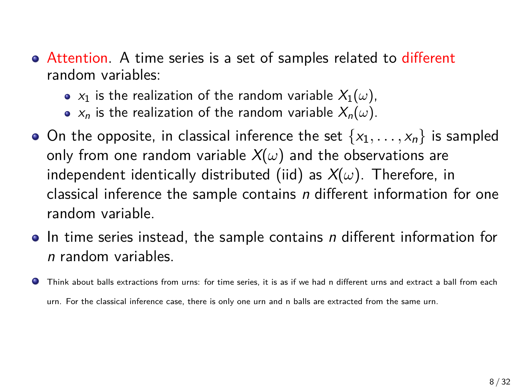- Attention. A time series is a set of samples related to different random variables:
	- $x_1$  is the realization of the random variable  $X_1(\omega)$ ,
	- $x_n$  is the realization of the random variable  $X_n(\omega)$ .
- $\bullet$  On the opposite, in classical inference the set  $\{x_1, \ldots, x_n\}$  is sampled only from one random variable  $X(\omega)$  and the observations are independent identically distributed (iid) as *X*(*ω*). Therefore, in classical inference the sample contains *n* different information for one random variable.
- In time series instead, the sample contains *n* different information for *n* random variables.
- Think about balls extractions from urns: for time series, it is as if we had n different urns and extract a ball from each ۰ urn. For the classical inference case, there is only one urn and n balls are extracted from the same urn.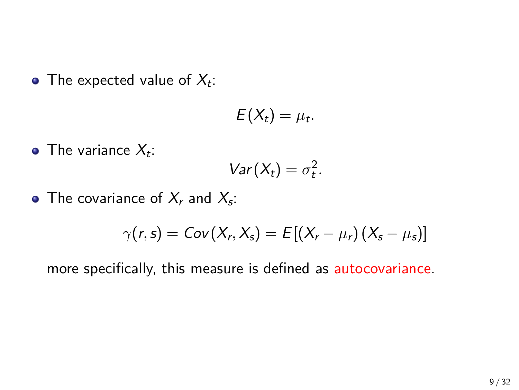The expected value of  $X_t$ :

$$
E(X_t)=\mu_t.
$$

The variance  $X_t$ :

$$
Var(X_t)=\sigma_t^2.
$$

The covariance of  $X_r$  and  $X_s$ :

$$
\gamma(r,s) = Cov(X_r, X_s) = E[(X_r - \mu_r)(X_s - \mu_s)]
$$

more specifically, this measure is defined as autocovariance.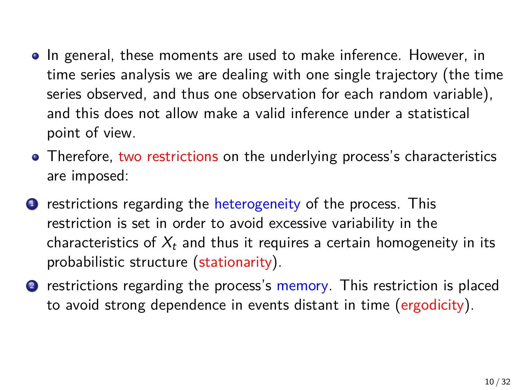- In general, these moments are used to make inference. However, in time series analysis we are dealing with one single trajectory (the time series observed, and thus one observation for each random variable), and this does not allow make a valid inference under a statistical point of view.
- Therefore, two restrictions on the underlying process's characteristics are imposed:
- **1** restrictions regarding the heterogeneity of the process. This restriction is set in order to avoid excessive variability in the characteristics of *X<sup>t</sup>* and thus it requires a certain homogeneity in its probabilistic structure (stationarity).
- **2** restrictions regarding the process's memory. This restriction is placed to avoid strong dependence in events distant in time (ergodicity).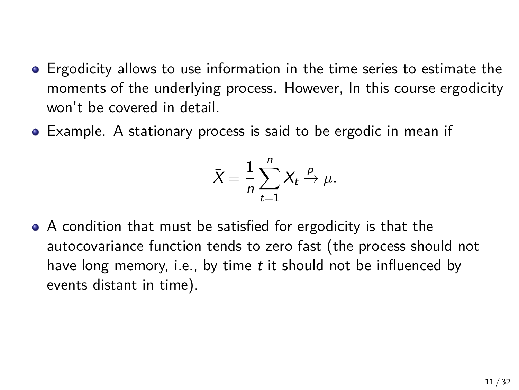- Ergodicity allows to use information in the time series to estimate the moments of the underlying process. However, In this course ergodicity won't be covered in detail.
- Example. A stationary process is said to be ergodic in mean if

$$
\bar{X} = \frac{1}{n} \sum_{t=1}^{n} X_t \xrightarrow{\rho} \mu.
$$

A condition that must be satisfied for ergodicity is that the autocovariance function tends to zero fast (the process should not have long memory, i.e., by time *t* it should not be influenced by events distant in time).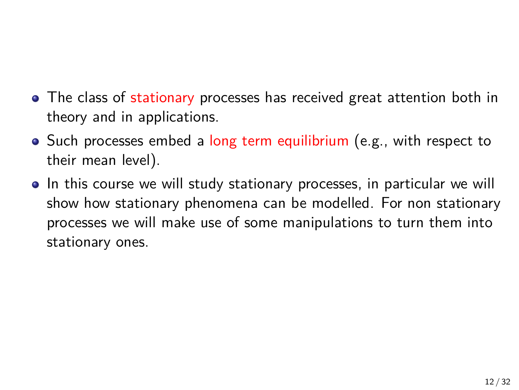- The class of stationary processes has received great attention both in theory and in applications.
- Such processes embed a long term equilibrium (e.g., with respect to their mean level).
- In this course we will study stationary processes, in particular we will show how stationary phenomena can be modelled. For non stationary processes we will make use of some manipulations to turn them into stationary ones.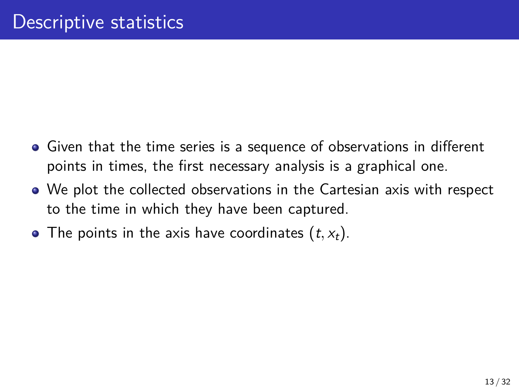- Given that the time series is a sequence of observations in different points in times, the first necessary analysis is a graphical one.
- We plot the collected observations in the Cartesian axis with respect to the time in which they have been captured.
- The points in the axis have coordinates  $(t, x_t)$ .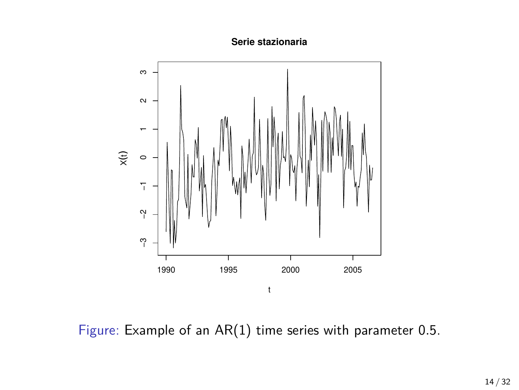**Serie stazionaria**



Figure: Example of an AR(1) time series with parameter 0*.*5.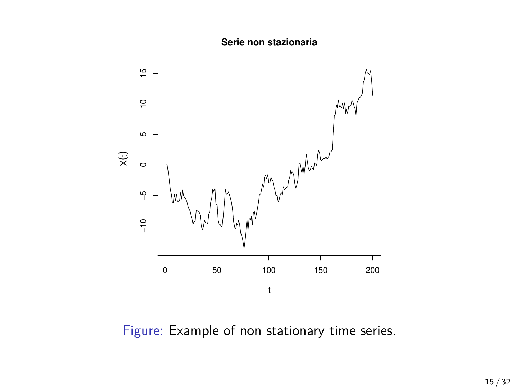**Serie non stazionaria**



Figure: Example of non stationary time series.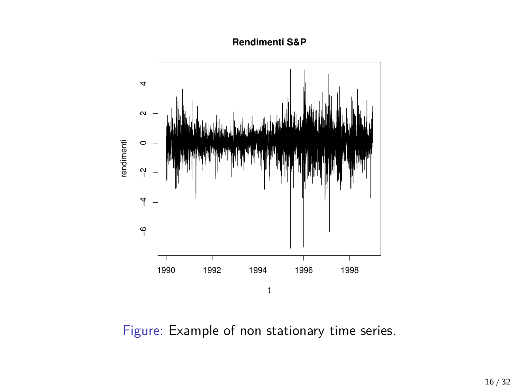**Rendimenti S&P**



Figure: Example of non stationary time series.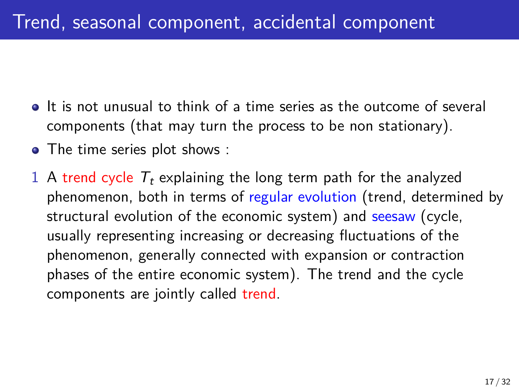- It is not unusual to think of a time series as the outcome of several components (that may turn the process to be non stationary).
- The time series plot shows :
- 1 A trend cycle  $T_t$  explaining the long term path for the analyzed phenomenon, both in terms of regular evolution (trend, determined by structural evolution of the economic system) and seesaw (cycle, usually representing increasing or decreasing fluctuations of the phenomenon, generally connected with expansion or contraction phases of the entire economic system). The trend and the cycle components are jointly called trend.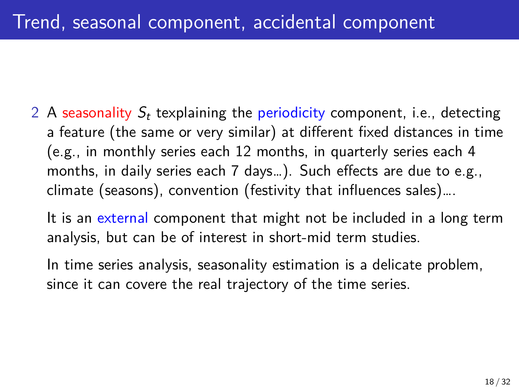2 A seasonality *S<sup>t</sup>* texplaining the periodicity component, i.e., detecting a feature (the same or very similar) at different fixed distances in time (e.g., in monthly series each 12 months, in quarterly series each 4 months, in daily series each 7 days…). Such effects are due to e.g., climate (seasons), convention (festivity that influences sales)….

It is an external component that might not be included in a long term analysis, but can be of interest in short-mid term studies.

In time series analysis, seasonality estimation is a delicate problem, since it can covere the real trajectory of the time series.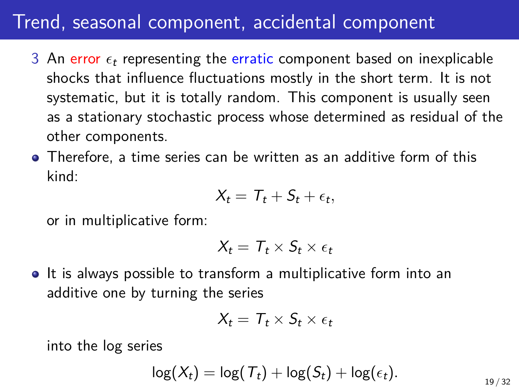### Trend, seasonal component, accidental component

- 3 An error  $\epsilon_t$  representing the erratic component based on inexplicable shocks that influence fluctuations mostly in the short term. It is not systematic, but it is totally random. This component is usually seen as a stationary stochastic process whose determined as residual of the other components.
- Therefore, a time series can be written as an additive form of this kind:

$$
X_t = T_t + S_t + \epsilon_t,
$$

or in multiplicative form:

$$
X_t = T_t \times S_t \times \epsilon_t
$$

• It is always possible to transform a multiplicative form into an additive one by turning the series

$$
X_t = T_t \times S_t \times \epsilon_t
$$

into the log series

$$
\log(X_t) = \log(T_t) + \log(S_t) + \log(\epsilon_t).
$$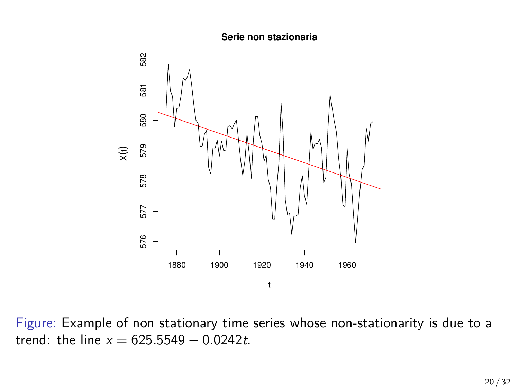**Serie non stazionaria**



Figure: Example of non stationary time series whose non-stationarity is due to a trend: the line *x* = 625*.*5549 *−* 0*.*0242*t*.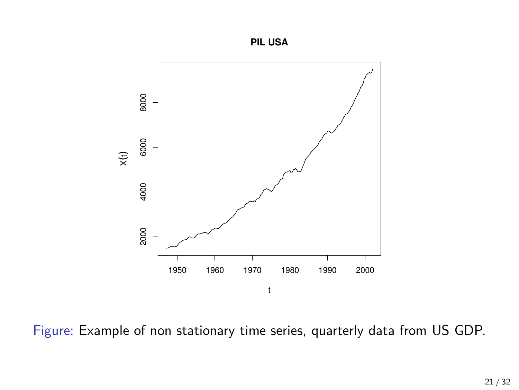



Figure: Example of non stationary time series, quarterly data from US GDP.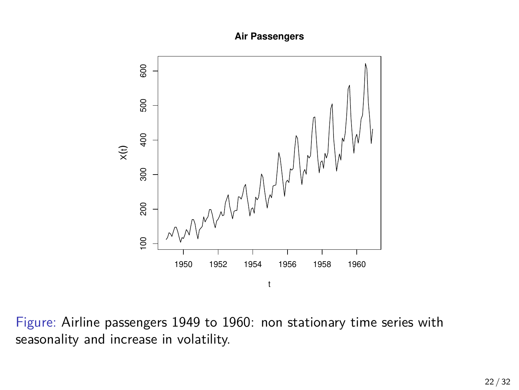#### **Air Passengers**



Figure: Airline passengers 1949 to 1960: non stationary time series with seasonality and increase in volatility.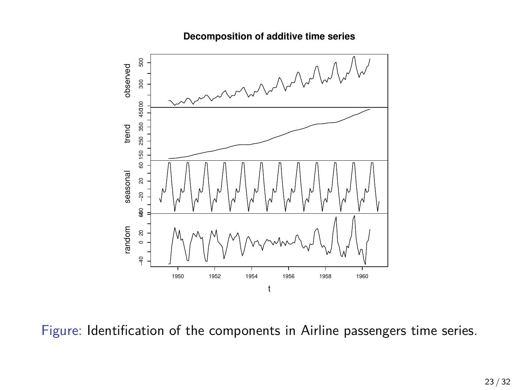

#### **Decomposition of additive time series**

Figure: Identification of the components in Airline passengers time series.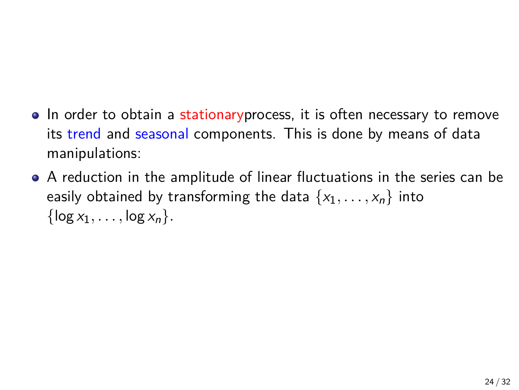- In order to obtain a stationaryprocess, it is often necessary to remove its trend and seasonal components. This is done by means of data manipulations:
- A reduction in the amplitude of linear fluctuations in the series can be easily obtained by transforming the data  $\{x_1, \ldots, x_n\}$  into  $\{ \log x_1, \ldots, \log x_n \}.$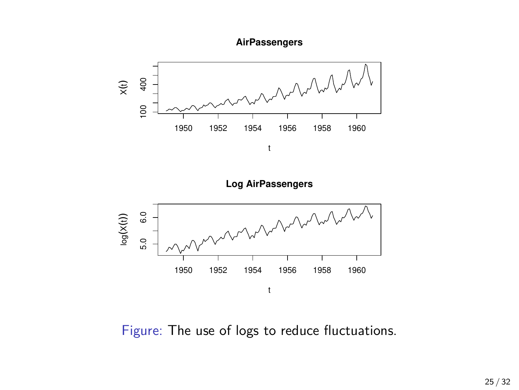



**Log AirPassengers**



Figure: The use of logs to reduce fluctuations.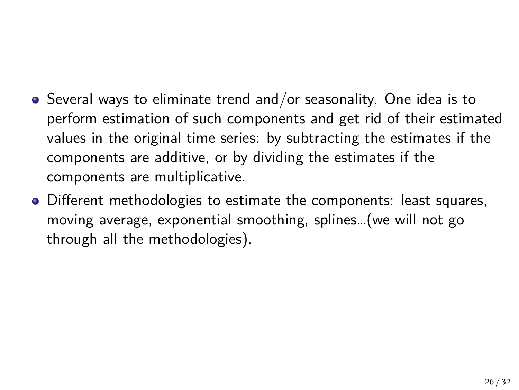- Several ways to eliminate trend and/or seasonality. One idea is to perform estimation of such components and get rid of their estimated values in the original time series: by subtracting the estimates if the components are additive, or by dividing the estimates if the components are multiplicative.
- Different methodologies to estimate the components: least squares, moving average, exponential smoothing, splines…(we will not go through all the methodologies).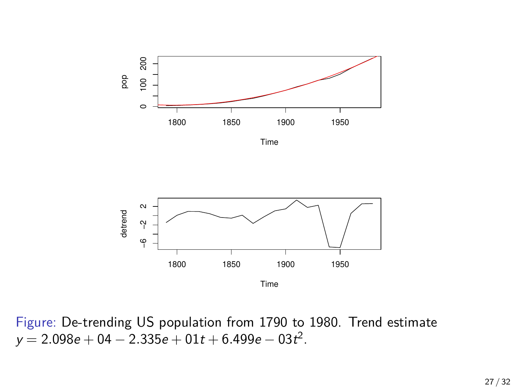

Time



Figure: De-trending US population from 1790 to 1980. Trend estimate *y* = 2*.*098*e* + 04 *−* 2*.*335*e* + 01*t* + 6*.*499*e −* 03*t* 2 .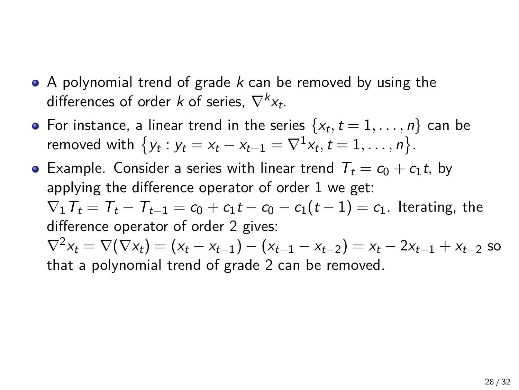- A polynomial trend of grade *k* can be removed by using the differences of order *k* of series, *∇<sup>k</sup> xt* .
- For instance, a linear trend in the series  $\{x_t, t = 1, \ldots, n\}$  can be removed with  $\{y_t : y_t = x_t - x_{t-1} = \nabla^1 x_t, t = 1, ..., n\}.$
- Example. Consider a series with linear trend  $T_t = c_0 + c_1 t$ , by applying the difference operator of order 1 we get:  $\nabla_1 T_t = T_t - T_{t-1} = c_0 + c_1 t - c_0 - c_1 (t-1) = c_1$ . Iterating, the difference operator of order 2 gives:  $\nabla^2 x_t = \nabla(\nabla x_t) = (x_t - x_{t-1}) - (x_{t-1} - x_{t-2}) = x_t - 2x_{t-1} + x_{t-2}$  so that a polynomial trend of grade 2 can be removed.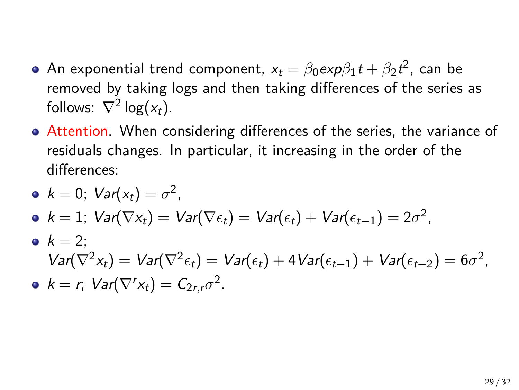- $\mathsf{An}$  exponential trend component,  $x_t = \beta_0 \textit{exp} \beta_1 t + \beta_2 t^2$ , can be removed by taking logs and then taking differences of the series as follows:  $\nabla^2 \log(x_t)$ .
- Attention. When considering differences of the series, the variance of residuals changes. In particular, it increasing in the order of the differences:

\n- $$
\bullet
$$
  $k = 0$ ;  $Var(x_t) = \sigma^2$ ,
\n- $\bullet$   $k = 1$ ;  $Var(\nabla x_t) = Var(\nabla \epsilon_t) = Var(\epsilon_t) + Var(\epsilon_{t-1}) = 2\sigma^2$ ,
\n- $\bullet$   $k = 2$ ;
\n- $Var(\nabla^2 x_t) = Var(\nabla^2 \epsilon_t) = Var(\epsilon_t) + 4Var(\epsilon_{t-1}) + Var(\epsilon_{t-2}) = 6\sigma^2$ ,
\n- $\bullet$   $k = r$ ;  $Var(\nabla^r x_t) = C_{2r,r}\sigma^2$ .
\n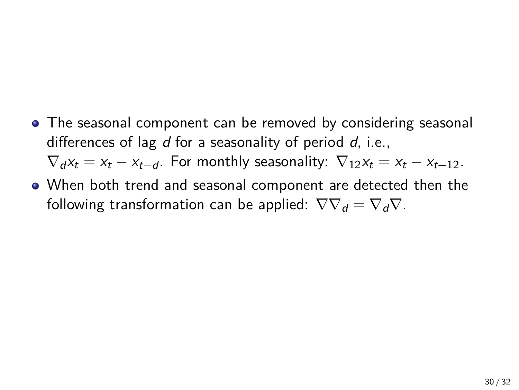- The seasonal component can be removed by considering seasonal differences of lag *d* for a seasonality of period *d*, i.e.,  $\nabla_d x_t = x_t - x_{t-d}$ . For monthly seasonality:  $\nabla_1 x_t = x_t - x_{t-1}$ .
- When both trend and seasonal component are detected then the following transformation can be applied:  $\nabla \nabla_d = \nabla_d \nabla$ .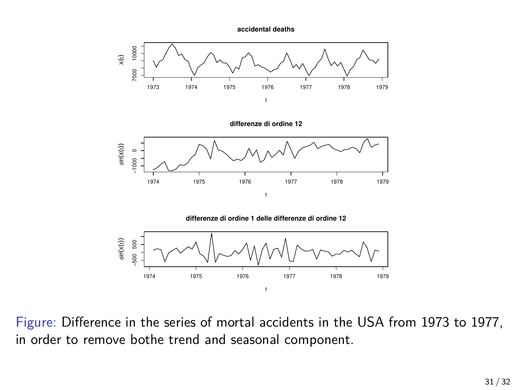**accidental deaths**



**differenze di ordine 12**





Figure: Difference in the series of mortal accidents in the USA from 1973 to 1977, in order to remove bothe trend and seasonal component.